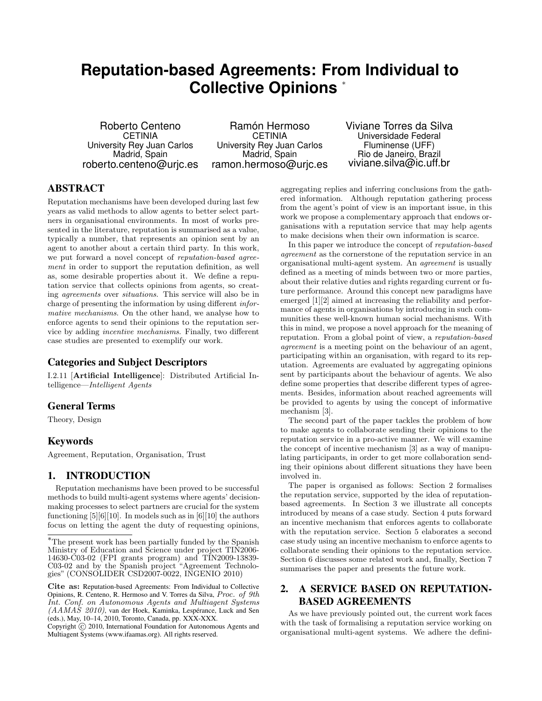# **Reputation-based Agreements: From Individual to Collective Opinions** <sup>∗</sup>

Roberto Centeno CETINIA University Rey Juan Carlos Madrid, Spain roberto.centeno@urjc.es

Ramón Hermoso **CETINIA** University Rey Juan Carlos Madrid, Spain ramon.hermoso@urjc.es Viviane Torres da Silva Universidade Federal Fluminense (UFF) Rio de Janeiro, Brazil viviane.silva@ic.uff.br

# ABSTRACT

Reputation mechanisms have been developed during last few years as valid methods to allow agents to better select partners in organisational environments. In most of works presented in the literature, reputation is summarised as a value, typically a number, that represents an opinion sent by an agent to another about a certain third party. In this work, we put forward a novel concept of reputation-based agreement in order to support the reputation definition, as well as, some desirable properties about it. We define a reputation service that collects opinions from agents, so creating agreements over situations. This service will also be in charge of presenting the information by using different informative mechanisms. On the other hand, we analyse how to enforce agents to send their opinions to the reputation service by adding incentive mechanisms. Finally, two different case studies are presented to exemplify our work.

## Categories and Subject Descriptors

I.2.11 [Artificial Intelligence]: Distributed Artificial Intelligence—Intelligent Agents

#### General Terms

Theory, Design

#### Keywords

Agreement, Reputation, Organisation, Trust

## 1. INTRODUCTION

Reputation mechanisms have been proved to be successful methods to build multi-agent systems where agents' decisionmaking processes to select partners are crucial for the system functioning  $[5][6][10]$ . In models such as in  $[6][10]$  the authors focus on letting the agent the duty of requesting opinions,

aggregating replies and inferring conclusions from the gathered information. Although reputation gathering process from the agent's point of view is an important issue, in this work we propose a complementary approach that endows organisations with a reputation service that may help agents to make decisions when their own information is scarce.

In this paper we introduce the concept of reputation-based agreement as the cornerstone of the reputation service in an organisational multi-agent system. An agreement is usually defined as a meeting of minds between two or more parties, about their relative duties and rights regarding current or future performance. Around this concept new paradigms have emerged [1][2] aimed at increasing the reliability and performance of agents in organisations by introducing in such communities these well-known human social mechanisms. With this in mind, we propose a novel approach for the meaning of reputation. From a global point of view, a reputation-based agreement is a meeting point on the behaviour of an agent, participating within an organisation, with regard to its reputation. Agreements are evaluated by aggregating opinions sent by participants about the behaviour of agents. We also define some properties that describe different types of agreements. Besides, information about reached agreements will be provided to agents by using the concept of informative mechanism [3].

The second part of the paper tackles the problem of how to make agents to collaborate sending their opinions to the reputation service in a pro-active manner. We will examine the concept of incentive mechanism [3] as a way of manipulating participants, in order to get more collaboration sending their opinions about different situations they have been involved in.

The paper is organised as follows: Section 2 formalises the reputation service, supported by the idea of reputationbased agreements. In Section 3 we illustrate all concepts introduced by means of a case study. Section 4 puts forward an incentive mechanism that enforces agents to collaborate with the reputation service. Section 5 elaborates a second case study using an incentive mechanism to enforce agents to collaborate sending their opinions to the reputation service. Section 6 discusses some related work and, finally, Section 7 summarises the paper and presents the future work.

# 2. A SERVICE BASED ON REPUTATION-BASED AGREEMENTS

As we have previously pointed out, the current work faces with the task of formalising a reputation service working on organisational multi-agent systems. We adhere the defini-

<sup>∗</sup>The present work has been partially funded by the Spanish Ministry of Education and Science under project TIN2006-14630-C03-02 (FPI grants program) and TIN2009-13839- C03-02 and by the Spanish project "Agreement Technologies" (CONSOLIDER CSD2007-0022, INGENIO 2010)

Cite as: Reputation-based Agreements: From Individual to Collective Opinions, R. Centeno, R. Hermoso and V. Torres da Silva, Proc. of 9th Int. Conf. on Autonomous Agents and Multiagent Systems (AAMAS 2010), van der Hoek, Kaminka, Lespérance, Luck and Sen (eds.), May, 10–14, 2010, Toronto, Canada, pp. XXX-XXX.

Copyright (C) 2010, International Foundation for Autonomous Agents and Multiagent Systems (www.ifaamas.org). All rights reserved.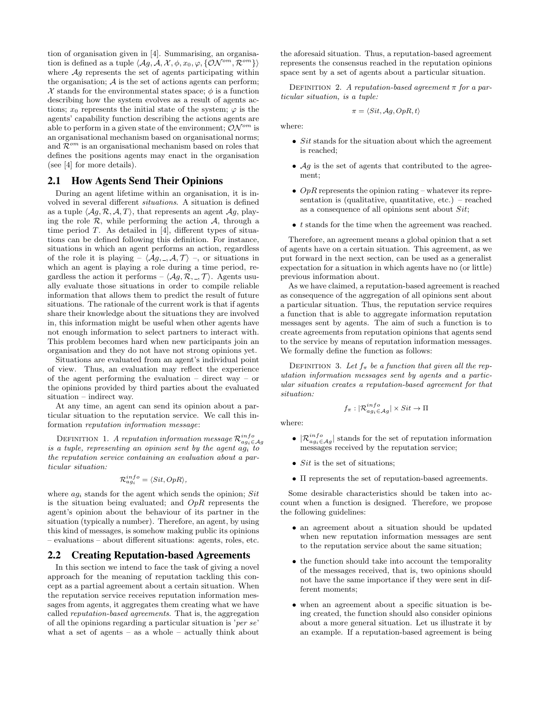tion of organisation given in [4]. Summarising, an organisation is defined as a tuple  $\langle Ag, A, X, \phi, x_0, \varphi, \{\mathcal{ON}^{om}, \mathcal{R}^{om}\}\rangle$ where  $Aq$  represents the set of agents participating within the organisation;  $A$  is the set of actions agents can perform;  $\mathcal X$  stands for the environmental states space;  $\phi$  is a function describing how the system evolves as a result of agents actions;  $x_0$  represents the initial state of the system;  $\varphi$  is the agents' capability function describing the actions agents are able to perform in a given state of the environment;  $\mathcal{ON}^{om}$  is an organisational mechanism based on organisational norms; and  $\mathcal{R}^{om}$  is an organisational mechanism based on roles that defines the positions agents may enact in the organisation (see [4] for more details).

#### 2.1 How Agents Send Their Opinions

During an agent lifetime within an organisation, it is involved in several different situations. A situation is defined as a tuple  $\langle Ag, R, A, T \rangle$ , that represents an agent Ag, playing the role  $R$ , while performing the action  $A$ , through a time period  $T$ . As detailed in [4], different types of situations can be defined following this definition. For instance, situations in which an agent performs an action, regardless of the role it is playing –  $\langle \mathcal{A}, \mathcal{A}, \mathcal{T} \rangle$  –, or situations in which an agent is playing a role during a time period, regardless the action it performs –  $\langle Ag, R, \cdot, \mathcal{T} \rangle$ . Agents usually evaluate those situations in order to compile reliable information that allows them to predict the result of future situations. The rationale of the current work is that if agents share their knowledge about the situations they are involved in, this information might be useful when other agents have not enough information to select partners to interact with. This problem becomes hard when new participants join an organisation and they do not have not strong opinions yet.

Situations are evaluated from an agent's individual point of view. Thus, an evaluation may reflect the experience of the agent performing the evaluation – direct way – or the opinions provided by third parties about the evaluated situation – indirect way.

At any time, an agent can send its opinion about a particular situation to the reputation service. We call this information reputation information message:

DEFINITION 1. A reputation information message  $\mathcal{R}^{info}_{ag_i \in \mathcal{A}g}$ is a tuple, representing an opinion sent by the agent ag<sup>i</sup> to the reputation service containing an evaluation about a particular situation:

$$
\mathcal{R}_{ag_i}^{info} = \langle Sit, OpR \rangle,
$$

where  $ag_i$  stands for the agent which sends the opinion; Sit is the situation being evaluated; and  $OpR$  represents the agent's opinion about the behaviour of its partner in the situation (typically a number). Therefore, an agent, by using this kind of messages, is somehow making public its opinions – evaluations – about different situations: agents, roles, etc.

#### 2.2 Creating Reputation-based Agreements

In this section we intend to face the task of giving a novel approach for the meaning of reputation tackling this concept as a partial agreement about a certain situation. When the reputation service receives reputation information messages from agents, it aggregates them creating what we have called reputation-based agreements. That is, the aggregation of all the opinions regarding a particular situation is 'per se' what a set of agents – as a whole – actually think about

the aforesaid situation. Thus, a reputation-based agreement represents the consensus reached in the reputation opinions space sent by a set of agents about a particular situation.

DEFINITION 2. A reputation-based agreement  $\pi$  for a particular situation, is a tuple:

$$
\pi = \langle Sit, \mathcal{A}g, OpR, t \rangle
$$

where:

- $Sit$  stands for the situation about which the agreement is reached;
- $Ag$  is the set of agents that contributed to the agreement;
- OpR represents the opinion rating whatever its representation is (qualitative, quantitative, etc.) – reached as a consequence of all opinions sent about Sit;
- $\bullet$  t stands for the time when the agreement was reached.

Therefore, an agreement means a global opinion that a set of agents have on a certain situation. This agreement, as we put forward in the next section, can be used as a generalist expectation for a situation in which agents have no (or little) previous information about.

As we have claimed, a reputation-based agreement is reached as consequence of the aggregation of all opinions sent about a particular situation. Thus, the reputation service requires a function that is able to aggregate information reputation messages sent by agents. The aim of such a function is to create agreements from reputation opinions that agents send to the service by means of reputation information messages. We formally define the function as follows:

DEFINITION 3. Let  $f_{\pi}$  be a function that given all the reputation information messages sent by agents and a particular situation creates a reputation-based agreement for that situation:

$$
f_{\pi}: |\mathcal{R}_{ag_i \in \mathcal{A}g}^{info}| \times Sit \to \Pi
$$

where:

- $\mathcal{R}^{info}_{ag_i \in \mathcal{A}g}$  stands for the set of reputation information messages received by the reputation service;
- $Sit$  is the set of situations;
- Π represents the set of reputation-based agreements.

Some desirable characteristics should be taken into account when a function is designed. Therefore, we propose the following guidelines:

- an agreement about a situation should be updated when new reputation information messages are sent to the reputation service about the same situation;
- the function should take into account the temporality of the messages received, that is, two opinions should not have the same importance if they were sent in different moments;
- when an agreement about a specific situation is being created, the function should also consider opinions about a more general situation. Let us illustrate it by an example. If a reputation-based agreement is being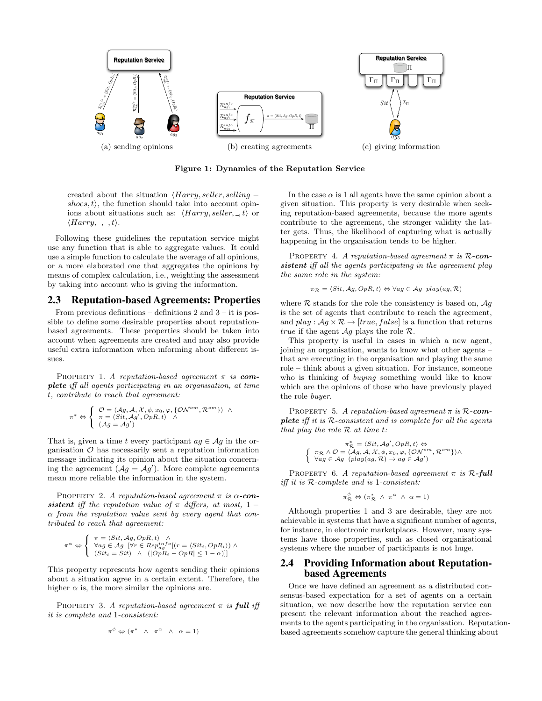

Figure 1: Dynamics of the Reputation Service

created about the situation  $\langle Harry, seller, selling$  $\langle$ shoes,  $t \rangle$ , the function should take into account opinions about situations such as:  $\langle Harry, seller, \_, t \rangle$  or  $\langle Harry, \_, \_, t \rangle$ .

Following these guidelines the reputation service might use any function that is able to aggregate values. It could use a simple function to calculate the average of all opinions, or a more elaborated one that aggregates the opinions by means of complex calculation, i.e., weighting the assessment by taking into account who is giving the information.

#### 2.3 Reputation-based Agreements: Properties

From previous definitions  $-$  definitions  $2$  and  $3 - it$  is possible to define some desirable properties about reputationbased agreements. These properties should be taken into account when agreements are created and may also provide useful extra information when informing about different issues.

PROPERTY 1. A reputation-based agreement  $\pi$  is complete iff all agents participating in an organisation, at time t, contribute to reach that agreement:

$$
\pi^* \Leftrightarrow \left\{ \begin{array}{l} \mathcal{O} = \langle \mathcal{A}g, \mathcal{A}, \mathcal{X}, \phi, x_0, \varphi, \{\mathcal{O} \mathcal{N}^{om}, \mathcal{R}^{om}\} \rangle \ \wedge \\ \pi = \langle Sit, \mathcal{A}g', OpR, t \rangle \quad \wedge \\ (\mathcal{A}g = \mathcal{A}g') \end{array} \right.
$$

That is, given a time t every participant  $ag \in \mathcal{A}g$  in the organisation  $\mathcal O$  has necessarily sent a reputation information message indicating its opinion about the situation concerning the agreement  $(Ag = Ag')$ . More complete agreements mean more reliable the information in the system.

PROPERTY 2. A reputation-based agreement  $\pi$  is  $\alpha$ -consistent iff the reputation value of  $\pi$  differs, at most, 1 –  $\alpha$  from the reputation value sent by every agent that contributed to reach that agreement:

$$
\pi^{\alpha} \Leftrightarrow \begin{cases} \pi = \langle Sit, Ag, OpR, t \rangle \quad \land \\ \forall ag \in Ag \, [\forall r \in Rep_{ag}^{j}^{of}[(r = \langle Sit_i, OpR_i \rangle) \land \\ (Sit_i = Sit) \quad \land \, ([OpR_i - OpR] \le 1 - \alpha)]] \end{cases}
$$

This property represents how agents sending their opinions about a situation agree in a certain extent. Therefore, the higher  $\alpha$  is, the more similar the opinions are.

PROPERTY 3. A reputation-based agreement  $\pi$  is full iff it is complete and 1-consistent:

$$
\pi^{\phi} \Leftrightarrow (\pi^* \ \wedge \ \pi^{\alpha} \ \wedge \ \alpha = 1)
$$

In the case  $\alpha$  is 1 all agents have the same opinion about a given situation. This property is very desirable when seeking reputation-based agreements, because the more agents contribute to the agreement, the stronger validity the latter gets. Thus, the likelihood of capturing what is actually happening in the organisation tends to be higher.

PROPERTY 4. A reputation-based agreement  $\pi$  is  $\mathcal{R}\text{-}\textbf{con}$ sistent iff all the agents participating in the agreement play the same role in the system:

$$
\pi_{\mathcal{R}} = \langle Sit, Ag, OpR, t \rangle \Leftrightarrow \forall ag \in Ag \ play(ag, \mathcal{R})
$$

where  $R$  stands for the role the consistency is based on,  $Aq$ is the set of agents that contribute to reach the agreement, and  $play: Ag \times \mathcal{R} \rightarrow [true, false]$  is a function that returns true if the agent  $\mathcal{A}g$  plays the role  $\mathcal{R}$ .

This property is useful in cases in which a new agent, joining an organisation, wants to know what other agents – that are executing in the organisation and playing the same role – think about a given situation. For instance, someone who is thinking of *buying* something would like to know which are the opinions of those who have previously played the role buyer.

PROPERTY 5. A reputation-based agreement  $\pi$  is  $\mathcal{R}\text{-}\mathbf{com}\text{-}$ plete iff it is R-consistent and is complete for all the agents that play the role  $R$  at time  $t$ :

$$
\pi_{\mathcal{R}}^* = \langle Sit, Ag', OpR, t \rangle \Leftrightarrow
$$
\n
$$
\left\{ \begin{array}{l} \pi_{\mathcal{R}} \wedge \mathcal{O} = \langle Ag, \mathcal{A}, \mathcal{X}, \phi, x_0, \varphi, \{ \mathcal{O} \mathcal{N}^{om}, \mathcal{R}^{om} \} \rangle \wedge \\ \forall ag \in Ag \ (play(ag, \mathcal{R}) \rightarrow ag \in Ag') \end{array} \right\}
$$

PROPERTY 6. A reputation-based agreement  $\pi$  is R-full iff it is R-complete and is 1-consistent:

$$
\pi_\mathcal{R}^\phi \Leftrightarrow (\pi_\mathcal{R}^* \ \wedge \ \pi^\alpha \ \wedge \ \alpha = 1)
$$

Although properties 1 and 3 are desirable, they are not achievable in systems that have a significant number of agents, for instance, in electronic marketplaces. However, many systems have those properties, such as closed organisational systems where the number of participants is not huge.

#### 2.4 Providing Information about Reputationbased Agreements

Once we have defined an agreement as a distributed consensus-based expectation for a set of agents on a certain situation, we now describe how the reputation service can present the relevant information about the reached agreements to the agents participating in the organisation. Reputationbased agreements somehow capture the general thinking about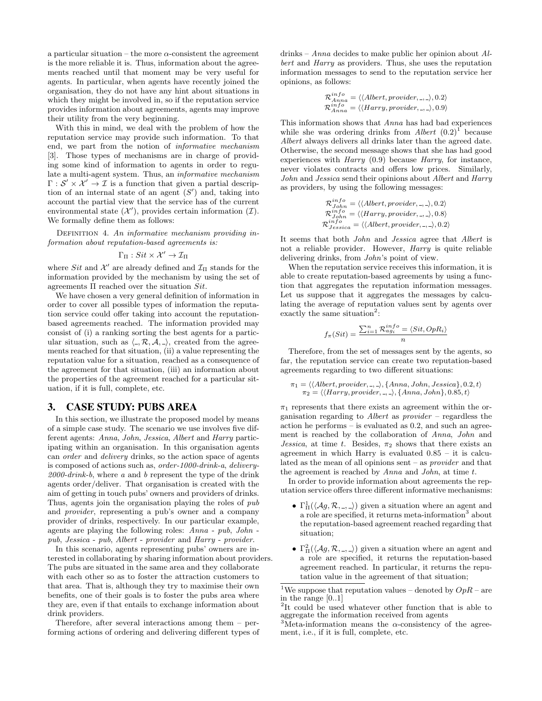a particular situation – the more  $\alpha$ -consistent the agreement is the more reliable it is. Thus, information about the agreements reached until that moment may be very useful for agents. In particular, when agents have recently joined the organisation, they do not have any hint about situations in which they might be involved in, so if the reputation service provides information about agreements, agents may improve their utility from the very beginning.

With this in mind, we deal with the problem of how the reputation service may provide such information. To that end, we part from the notion of informative mechanism [3]. Those types of mechanisms are in charge of providing some kind of information to agents in order to regulate a multi-agent system. Thus, an informative mechanism  $\Gamma : \mathcal{S}' \times \mathcal{X}' \to \mathcal{I}$  is a function that given a partial description of an internal state of an agent  $(S')$  and, taking into account the partial view that the service has of the current environmental state  $(X')$ , provides certain information  $(\mathcal{I})$ . We formally define them as follows:

DEFINITION 4. An informative mechanism providing information about reputation-based agreements is:

$$
\Gamma_{\Pi}: \mathit{Sit} \times \mathcal{X}' \to \mathcal{I}_{\Pi}
$$

where Sit and  $\mathcal{X}'$  are already defined and  $\mathcal{I}_{\Pi}$  stands for the information provided by the mechanism by using the set of agreements Π reached over the situation Sit.

We have chosen a very general definition of information in order to cover all possible types of information the reputation service could offer taking into account the reputationbased agreements reached. The information provided may consist of (i) a ranking sorting the best agents for a particular situation, such as  $\langle \cdot, \mathcal{R}, \mathcal{A}, \cdot \rangle$ , created from the agreements reached for that situation, (ii) a value representing the reputation value for a situation, reached as a consequence of the agreement for that situation, (iii) an information about the properties of the agreement reached for a particular situation, if it is full, complete, etc.

## 3. CASE STUDY: PUBS AREA

In this section, we illustrate the proposed model by means of a simple case study. The scenario we use involves five different agents: Anna, John, Jessica, Albert and Harry participating within an organisation. In this organisation agents can order and delivery drinks, so the action space of agents is composed of actions such as, order-1000-drink-a, delivery- $2000$ -drink-b, where a and b represent the type of the drink agents order/deliver. That organisation is created with the aim of getting in touch pubs' owners and providers of drinks. Thus, agents join the organisation playing the roles of pub and provider, representing a pub's owner and a company provider of drinks, respectively. In our particular example, agents are playing the following roles: Anna - pub, John pub, Jessica - pub, Albert - provider and Harry - provider.

In this scenario, agents representing pubs' owners are interested in collaborating by sharing information about providers. The pubs are situated in the same area and they collaborate with each other so as to foster the attraction customers to that area. That is, although they try to maximise their own benefits, one of their goals is to foster the pubs area where they are, even if that entails to exchange information about drink providers.

Therefore, after several interactions among them – performing actions of ordering and delivering different types of drinks – Anna decides to make public her opinion about Albert and Harry as providers. Thus, she uses the reputation information messages to send to the reputation service her opinions, as follows:

$$
\mathcal{R}_{Anna}^{info} = \langle \langle Albert, provider, \_,\_\rangle, 0.2 \rangle
$$
  

$$
\mathcal{R}_{Anna}^{info} = \langle \langle Harry, provider, \_,\_\rangle, 0.9 \rangle
$$

This information shows that Anna has had bad experiences while she was ordering drinks from  $Albert (0.2)^1$  because Albert always delivers all drinks later than the agreed date. Otherwise, the second message shows that she has had good experiences with Harry (0.9) because Harry, for instance, never violates contracts and offers low prices. Similarly, John and Jessica send their opinions about Albert and Harry as providers, by using the following messages:

$$
\mathcal{R}_{John}^{info} = \langle \langle Albert, provider, \_, \rangle, 0.2 \rangle
$$
\n
$$
\mathcal{R}_{John}^{info} = \langle \langle Harry, provider, \_, \rangle, 0.8 \rangle
$$
\n
$$
\mathcal{R}_{Jessica}^{info} = \langle \langle Albert, provider, \_, \rangle, 0.2 \rangle
$$

It seems that both John and Jessica agree that Albert is not a reliable provider. However, Harry is quite reliable delivering drinks, from John's point of view.

When the reputation service receives this information, it is able to create reputation-based agreements by using a function that aggregates the reputation information messages. Let us suppose that it aggregates the messages by calculating the average of reputation values sent by agents over exactly the same situation<sup>2</sup>:

$$
f_{\pi}(Sit) = \frac{\sum_{i=1}^{n} \mathcal{R}_{ag_i}^{info} = \langle Sit, OpR_i \rangle}{n}
$$

Therefore, from the set of messages sent by the agents, so far, the reputation service can create two reputation-based agreements regarding to two different situations:

$$
\pi_1 = \langle \langle Albert, provider, \_, \rangle, \{Anna, John, Jessica\}, 0.2, t \rangle
$$
  

$$
\pi_2 = \langle \langle Harry, provider, \_, \rangle, \{Anna, John\}, 0.85, t \rangle
$$

 $\pi_1$  represents that there exists an agreement within the organisation regarding to *Albert* as *provider* – regardless the action he performs – is evaluated as 0.2, and such an agreement is reached by the collaboration of Anna, John and Jessica, at time t. Besides,  $\pi_2$  shows that there exists an agreement in which Harry is evaluated 0.85 – it is calculated as the mean of all opinions sent – as provider and that the agreement is reached by Anna and John, at time t.

In order to provide information about agreements the reputation service offers three different informative mechanisms:

- $\Gamma^1_{\Pi}(\langle \mathcal{A}_g, \mathcal{R}, \ldots \rangle)$  given a situation where an agent and a role are specified, it returns meta-information<sup>3</sup> about the reputation-based agreement reached regarding that situation;
- $\Gamma^2_{\Pi}(\langle \mathcal{A}_g, \mathcal{R}, \ldots \rangle)$  given a situation where an agent and a role are specified, it returns the reputation-based agreement reached. In particular, it returns the reputation value in the agreement of that situation;

2 It could be used whatever other function that is able to aggregate the information received from agents

<sup>&</sup>lt;sup>1</sup>We suppose that reputation values – denoted by  $OpR$  – are in the range [0..1]

<sup>&</sup>lt;sup>3</sup>Meta-information means the  $\alpha$ -consistency of the agreement, i.e., if it is full, complete, etc.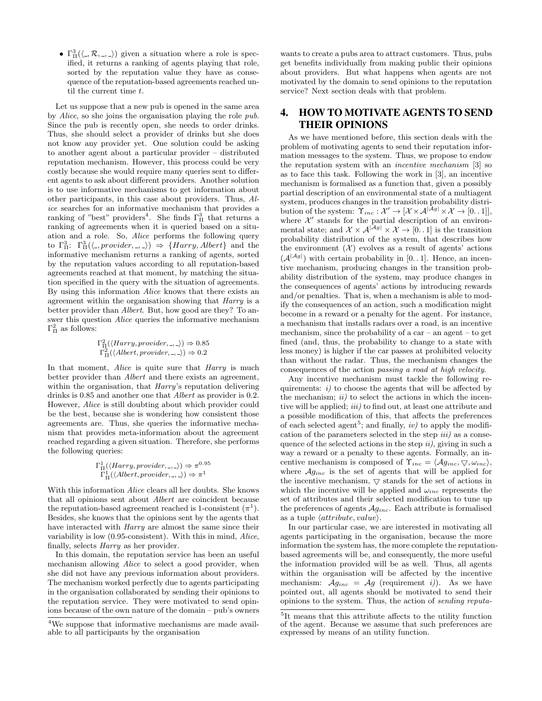•  $\Gamma^3_{\Pi}(\langle \cdot, \mathcal{R}, \cdot, \cdot \rangle)$  given a situation where a role is specified, it returns a ranking of agents playing that role, sorted by the reputation value they have as consequence of the reputation-based agreements reached until the current time t.

Let us suppose that a new pub is opened in the same area by Alice, so she joins the organisation playing the role pub. Since the pub is recently open, she needs to order drinks. Thus, she should select a provider of drinks but she does not know any provider yet. One solution could be asking to another agent about a particular provider – distributed reputation mechanism. However, this process could be very costly because she would require many queries sent to different agents to ask about different providers. Another solution is to use informative mechanisms to get information about other participants, in this case about providers. Thus, Alice searches for an informative mechanism that provides a ranking of "best" providers<sup>4</sup>. She finds  $\Gamma_{\Pi}^3$  that returns a ranking of agreements when it is queried based on a situation and a role. So, Alice performs the following query to  $\Gamma_{\Pi}^{3}$ :  $\Gamma_{\Pi}^{3}(\langle \_, \text{provider}, \_, \_ \rangle) \Rightarrow$  {*Harry, Albert*} and the informative mechanism returns a ranking of agents, sorted by the reputation values according to all reputation-based agreements reached at that moment, by matching the situation specified in the query with the situation of agreements. By using this information Alice knows that there exists an agreement within the organisation showing that Harry is a better provider than Albert. But, how good are they? To answer this question Alice queries the informative mechanism  $\Gamma_{\Pi}^2$  as follows:

$$
\Gamma_{\Pi}^{2}(\langle Harry, provider, \_, \_ \rangle) \Rightarrow 0.85
$$
  

$$
\Gamma_{\Pi}^{2}(\langle Albert, provider, \_, \_ \rangle) \Rightarrow 0.2
$$

In that moment, *Alice* is quite sure that *Harry* is much better provider than Albert and there exists an agreement, within the organisation, that Harry's reputation delivering drinks is 0.85 and another one that Albert as provider is 0.2. However, Alice is still doubting about which provider could be the best, because she is wondering how consistent those agreements are. Thus, she queries the informative mechanism that provides meta-information about the agreement reached regarding a given situation. Therefore, she performs the following queries:

$$
\Gamma^1_{\Pi}(\langle Harry, provider, \_, \_ \rangle) \Rightarrow \pi^{0.95}
$$
  

$$
\Gamma^1_{\Pi}(\langle Albert, provider, \_, \_ \rangle) \Rightarrow \pi^1
$$

With this information Alice clears all her doubts. She knows that all opinions sent about Albert are coincident because the reputation-based agreement reached is 1-consistent  $(\pi^1)$ . Besides, she knows that the opinions sent by the agents that have interacted with *Harry* are almost the same since their variability is low (0.95-consistent). With this in mind, Alice, finally, selects Harry as her provider.

In this domain, the reputation service has been an useful mechanism allowing Alice to select a good provider, when she did not have any previous information about providers. The mechanism worked perfectly due to agents participating in the organisation collaborated by sending their opinions to the reputation service. They were motivated to send opinions because of the own nature of the domain – pub's owners

wants to create a pubs area to attract customers. Thus, pubs get benefits individually from making public their opinions about providers. But what happens when agents are not motivated by the domain to send opinions to the reputation service? Next section deals with that problem.

## 4. HOW TO MOTIVATE AGENTS TO SEND THEIR OPINIONS

As we have mentioned before, this section deals with the problem of motivating agents to send their reputation information messages to the system. Thus, we propose to endow the reputation system with an incentive mechanism [3] so as to face this task. Following the work in [3], an incentive mechanism is formalised as a function that, given a possibly partial description of an environmental state of a multiagent system, produces changes in the transition probability distribution of the system:  $\widetilde{\Upsilon}_{inc}: \mathcal{X}' \to [\mathcal{X} \times \mathcal{A}^{|\overline{\mathcal{A}}g|} \times \mathcal{X} \to [0, 1]],$ where  $\mathcal{X}'$  stands for the partial description of an environmental state; and  $\mathcal{X} \times \mathcal{A}^{|\mathcal{A}g|} \times \mathcal{X} \to [0, 1]$  is the transition probability distribution of the system, that describes how the environment  $(X)$  evolves as a result of agents' actions  $(\mathcal{A}^{|\mathcal{A}g|})$  with certain probability in [0. . 1]. Hence, an incentive mechanism, producing changes in the transition probability distribution of the system, may produce changes in the consequences of agents' actions by introducing rewards and/or penalties. That is, when a mechanism is able to modify the consequences of an action, such a modification might become in a reward or a penalty for the agent. For instance, a mechanism that installs radars over a road, is an incentive mechanism, since the probability of a car – an agent – to get fined (and, thus, the probability to change to a state with less money) is higher if the car passes at prohibited velocity than without the radar. Thus, the mechanism changes the consequences of the action passing a road at high velocity.

Any incentive mechanism must tackle the following requirements:  $i)$  to choose the agents that will be affected by the mechanism;  $ii)$  to select the actions in which the incentive will be applied; *iii*) to find out, at least one attribute and a possible modification of this, that affects the preferences of each selected agent<sup>5</sup>; and finally, *iv*) to apply the modification of the parameters selected in the step  $iii)$  as a consequence of the selected actions in the step  $ii$ , giving in such a way a reward or a penalty to these agents. Formally, an incentive mechanism is composed of  $\Upsilon_{inc} = \langle \mathcal{A} g_{inc}, \bigtriangledown, \omega_{inc} \rangle$ , where  $Ag_{inc}$  is the set of agents that will be applied for the incentive mechanism,  $\bigtriangledown$  stands for the set of actions in which the incentive will be applied and  $\omega_{inc}$  represents the set of attributes and their selected modification to tune up the preferences of agents  $Ag_{inc}$ . Each attribute is formalised as a tuple  $\langle attribute, value \rangle$ .

In our particular case, we are interested in motivating all agents participating in the organisation, because the more information the system has, the more complete the reputationbased agreements will be, and consequently, the more useful the information provided will be as well. Thus, all agents within the organisation will be affected by the incentive mechanism:  $Ag_{inc} = Ag$  (requirement i)). As we have pointed out, all agents should be motivated to send their opinions to the system. Thus, the action of sending reputa-

<sup>4</sup>We suppose that informative mechanisms are made available to all participants by the organisation

<sup>5</sup> It means that this attribute affects to the utility function of the agent. Because we assume that such preferences are expressed by means of an utility function.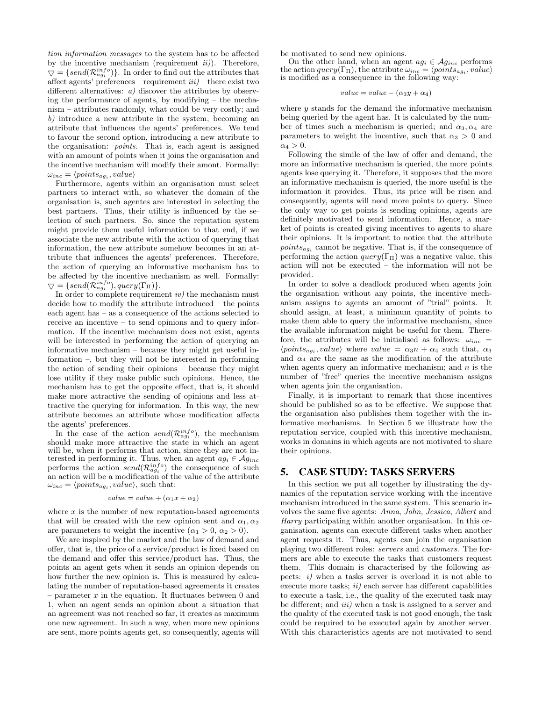tion information messages to the system has to be affected by the incentive mechanism (requirement  $ii$ )). Therefore,  $\bigtriangledown = \{send(\mathcal{R}_{agi}^{info})\}$ . In order to find out the attributes that affect agents' preferences – requirement  $iii$ ) – there exist two different alternatives: a) discover the attributes by observing the performance of agents, by modifying – the mechanism – attributes randomly, what could be very costly; and b) introduce a new attribute in the system, becoming an attribute that influences the agents' preferences. We tend to favour the second option, introducing a new attribute to the organisation: points. That is, each agent is assigned with an amount of points when it joins the organisation and the incentive mechanism will modify their amont. Formally:  $\omega_{inc} = \langle points_{ag_i}, value \rangle$ 

Furthermore, agents within an organisation must select partners to interact with, so whatever the domain of the organisation is, such agentes are interested in selecting the best partners. Thus, their utility is influenced by the selection of such partners. So, since the reputation system might provide them useful information to that end, if we associate the new attribute with the action of querying that information, the new attribute somehow becomes in an attribute that influences the agents' preferences. Therefore, the action of querying an informative mechanism has to be affected by the incentive mechanism as well. Formally:  $\bigtriangledown = \{send(\mathcal{R}_{ag_i}^{info}), query(\Gamma_{\Pi})\}.$ 

In order to complete requirement  $iv$  the mechanism must decide how to modify the attribute introduced – the points each agent has – as a consequence of the actions selected to receive an incentive – to send opinions and to query information. If the incentive mechanism does not exist, agents will be interested in performing the action of querying an informative mechanism – because they might get useful information –, but they will not be interested in performing the action of sending their opinions – because they might lose utility if they make public such opinions. Hence, the mechanism has to get the opposite effect, that is, it should make more attractive the sending of opinions and less attractive the querying for information. In this way, the new attribute becomes an attribute whose modification affects the agents' preferences.

In the case of the action  $send(\mathcal{R}_{ag_i}^{info})$ , the mechanism should make more attractive the state in which an agent will be, when it performs that action, since they are not interested in performing it. Thus, when an agent  $ag_i \in \mathcal{A}g_{inc}$ performs the action  $send(\mathcal{R}_{ag_i}^{info})$  the consequence of such an action will be a modification of the value of the attribute  $\omega_{inc} = \langle points_{ag_i}, value \rangle$ , such that:

#### $value = value + (\alpha_1 x + \alpha_2)$

where  $x$  is the number of new reputation-based agreements that will be created with the new opinion sent and  $\alpha_1, \alpha_2$ are parameters to weight the incentive  $(\alpha_1 > 0, \alpha_2 > 0)$ .

We are inspired by the market and the law of demand and offer, that is, the price of a service/product is fixed based on the demand and offer this service/product has. Thus, the points an agent gets when it sends an opinion depends on how further the new opinion is. This is measured by calculating the number of reputation-based agreements it creates – parameter  $x$  in the equation. It fluctuates between 0 and 1, when an agent sends an opinion about a situation that an agreement was not reached so far, it creates as maximum one new agreement. In such a way, when more new opinions are sent, more points agents get, so consequently, agents will be motivated to send new opinions.

On the other hand, when an agent  $ag_i \in \mathcal{A}g_{inc}$  performs the action  $query(\Gamma_{\Pi})$ , the attribute  $\omega_{inc} = \langle points_{ag_i}, value \rangle$ is modified as a consequence in the following way:

$$
value = value - (\alpha_3 y + \alpha_4)
$$

where  $y$  stands for the demand the informative mechanism being queried by the agent has. It is calculated by the number of times such a mechanism is queried; and  $\alpha_3, \alpha_4$  are parameters to weight the incentive, such that  $\alpha_3 > 0$  and  $\alpha_4 > 0$ .

Following the simile of the law of offer and demand, the more an informative mechanism is queried, the more points agents lose querying it. Therefore, it supposes that the more an informative mechanism is queried, the more useful is the information it provides. Thus, its price will be risen and consequently, agents will need more points to query. Since the only way to get points is sending opinions, agents are definitely motivated to send information. Hence, a market of points is created giving incentives to agents to share their opinions. It is important to notice that the attribute  $points_{ag_i}$  cannot be negative. That is, if the consequence of performing the action  $query(\Gamma_{\Pi})$  was a negative value, this action will not be executed – the information will not be provided.

In order to solve a deadlock produced when agents join the organisation without any points, the incentive mechanism assigns to agents an amount of "trial" points. It should assign, at least, a minimum quantity of points to make them able to query the informative mechanism, since the available information might be useful for them. Therefore, the attributes will be initialised as follows:  $\omega_{inc}$  =  $\langle points_{ag_i}, value \rangle$  where  $value = \alpha_3 n + \alpha_4$  such that,  $\alpha_3$ and  $\alpha_4$  are the same as the modification of the attribute when agents query an informative mechanism; and  $n$  is the number of "free" queries the incentive mechanism assigns when agents join the organisation.

Finally, it is important to remark that those incentives should be published so as to be effective. We suppose that the organisation also publishes them together with the informative mechanisms. In Section 5 we illustrate how the reputation service, coupled with this incentive mechanism, works in domains in which agents are not motivated to share their opinions.

### 5. CASE STUDY: TASKS SERVERS

In this section we put all together by illustrating the dynamics of the reputation service working with the incentive mechanism introduced in the same system. This scenario involves the same five agents: Anna, John, Jessica, Albert and Harry participating within another organisation. In this organisation, agents can execute different tasks when another agent requests it. Thus, agents can join the organisation playing two different roles: servers and customers. The formers are able to execute the tasks that customers request them. This domain is characterised by the following aspects:  $i$ ) when a tasks server is overload it is not able to execute more tasks;  $ii)$  each server has different capabilities to execute a task, i.e., the quality of the executed task may be different; and *iii*) when a task is assigned to a server and the quality of the executed task is not good enough, the task could be required to be executed again by another server. With this characteristics agents are not motivated to send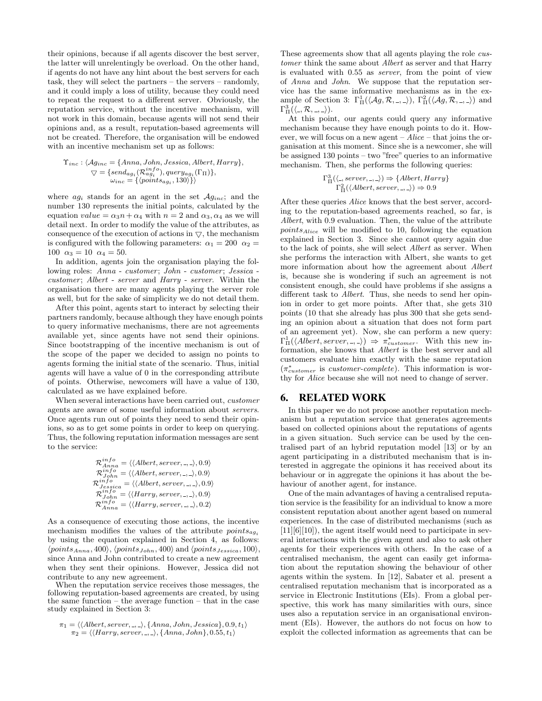their opinions, because if all agents discover the best server, the latter will unrelentingly be overload. On the other hand, if agents do not have any hint about the best servers for each task, they will select the partners – the servers – randomly, and it could imply a loss of utility, because they could need to repeat the request to a different server. Obviously, the reputation service, without the incentive mechanism, will not work in this domain, because agents will not send their opinions and, as a result, reputation-based agreements will not be created. Therefore, the organisation will be endowed with an incentive mechanism set up as follows:

$$
\begin{array}{l} \Upsilon_{inc} : \langle \mathcal{A}g_{inc} = \{ \text{Anna}, \text{John}, \text{Jessica}, \text{Albert}, \text{Harry} \}, \\ \hline \bigtriangledown = \{ \text{send}_{ag_i}( \mathcal{R}_{ag_i}^{inf}), \text{query}_{ag_i}(\Gamma_{\Pi}) \}, \\ \omega_{inc} = \{ \langle \text{points}_{ag_i}, 130 \rangle \} \rangle \end{array}
$$

where  $ag_i$  stands for an agent in the set  $Ag_{inc}$ ; and the number 130 represents the initial points, calculated by the equation  $value = \alpha_3 n + \alpha_4$  with  $n = 2$  and  $\alpha_3, \alpha_4$  as we will detail next. In order to modify the value of the attributes, as consequence of the execution of actions in  $\nabla$ , the mechanism is configured with the following parameters:  $\alpha_1 = 200 \ \alpha_2 =$ 100  $\alpha_3 = 10 \ \alpha_4 = 50$ .

In addition, agents join the organisation playing the following roles: Anna - customer; John - customer; Jessica customer; Albert - server and Harry - server. Within the organisation there are many agents playing the server role as well, but for the sake of simplicity we do not detail them.

After this point, agents start to interact by selecting their partners randomly, because although they have enough points to query informative mechanisms, there are not agreements available yet, since agents have not send their opinions. Since bootstrapping of the incentive mechanism is out of the scope of the paper we decided to assign no points to agents forming the initial state of the scenario. Thus, initial agents will have a value of 0 in the corresponding attribute of points. Otherwise, newcomers will have a value of 130, calculated as we have explained before.

When several interactions have been carried out, customer agents are aware of some useful information about servers. Once agents run out of points they need to send their opinions, so as to get some points in order to keep on querying. Thus, the following reputation information messages are sent to the service:

$$
\mathcal{R}_{Anna}^{info} = \langle \langle Albert, server, -, \rangle, 0.9 \rangle
$$
\n
$$
\mathcal{R}_{John}^{info} = \langle \langle Albert, server, -, \rangle, 0.9 \rangle
$$
\n
$$
\mathcal{R}_{John}^{info} = \langle \langle Albert, server, -, \rangle, 0.9 \rangle
$$
\n
$$
\mathcal{R}_{Jeshn}^{info} = \langle \langle Harry, server, -, \rangle, 0.9 \rangle
$$
\n
$$
\mathcal{R}_{Johna}^{info} = \langle Harry, server, -, \rangle, 0.2 \rangle
$$

As a consequence of executing those actions, the incentive mechanism modifies the values of the attribute  $points_{ag_i}$ by using the equation explained in Section 4, as follows:  $\langle points_{Anna}, 400 \rangle$ ,  $\langle points_{John}, 400 \rangle$  and  $\langle points_{Jessica}, 100 \rangle$ , since Anna and John contributed to create a new agreement when they sent their opinions. However, Jessica did not contribute to any new agreement.

When the reputation service receives those messages, the following reputation-based agreements are created, by using the same function – the average function – that in the case study explained in Section 3:

$$
\pi_1 = \langle \langle Albert, server, -, - \rangle, \{Anna, John, Jessica\}, 0.9, t_1 \rangle
$$
  

$$
\pi_2 = \langle \langle Harry, server, -, - \rangle, \{ Anna, John\}, 0.55, t_1 \rangle
$$

These agreements show that all agents playing the role customer think the same about Albert as server and that Harry is evaluated with 0.55 as server, from the point of view of Anna and John. We suppose that the reputation service has the same informative mechanisms as in the example of Section 3:  $\Gamma^1_\Pi(\langle \mathcal{A}_g, \mathcal{R}, \ldots \rangle), \ \Gamma^2_\Pi(\langle \mathcal{A}_g, \mathcal{R}, \ldots \rangle)$  and  $\Gamma^3_\Pi(\langle \_,\mathcal{R},\_,\_\rangle).$ 

At this point, our agents could query any informative mechanism because they have enough points to do it. However, we will focus on a new agent –  $Alice$  – that joins the organisation at this moment. Since she is a newcomer, she will be assigned 130 points – two "free" queries to an informative mechanism. Then, she performs the following queries:

$$
\Gamma_{\Pi}^{3}(\langle.,server, \_,\rangle) \Rightarrow \{Albert, Harry\} \newline \Gamma_{\Pi}^{2}(\langle Albert, server, \_,\rangle) \Rightarrow 0.9
$$

After these queries Alice knows that the best server, according to the reputation-based agreements reached, so far, is Albert, with 0.9 evaluation. Then, the value of the attribute  $points_{Alice}$  will be modified to 10, following the equation explained in Section 3. Since she cannot query again due to the lack of points, she will select Albert as server. When she performs the interaction with Albert, she wants to get more information about how the agreement about Albert is, because she is wondering if such an agreement is not consistent enough, she could have problems if she assigns a different task to Albert. Thus, she needs to send her opinion in order to get more points. After that, she gets 310 points (10 that she already has plus 300 that she gets sending an opinion about a situation that does not form part of an agreement yet). Now, she can perform a new query:  $\Gamma^1_{\Pi}(\langle Albert,server, \_, \rangle) \Rightarrow \pi^*_{customer}$ . With this new information, she knows that Albert is the best server and all customers evaluate him exactly with the same reputation  $(\pi_{customer}^{*}$  is *customer-complete*). This information is worthy for Alice because she will not need to change of server.

### 6. RELATED WORK

In this paper we do not propose another reputation mechanism but a reputation service that generates agreements based on collected opinions about the reputations of agents in a given situation. Such service can be used by the centralised part of an hybrid reputation model [13] or by an agent participating in a distributed mechanism that is interested in aggregate the opinions it has received about its behaviour or in aggregate the opinions it has about the behaviour of another agent, for instance.

One of the main advantages of having a centralised reputation service is the feasibility for an individual to know a more consistent reputation about another agent based on numeral experiences. In the case of distributed mechanisms (such as  $[11][6][10]$ , the agent itself would need to participate in several interactions with the given agent and also to ask other agents for their experiences with others. In the case of a centralised mechanism, the agent can easily get information about the reputation showing the behaviour of other agents within the system. In [12], Sabater et al. present a centralised reputation mechanism that is incorporated as a service in Electronic Institutions (EIs). From a global perspective, this work has many similarities with ours, since uses also a reputation service in an organisational environment (EIs). However, the authors do not focus on how to exploit the collected information as agreements that can be